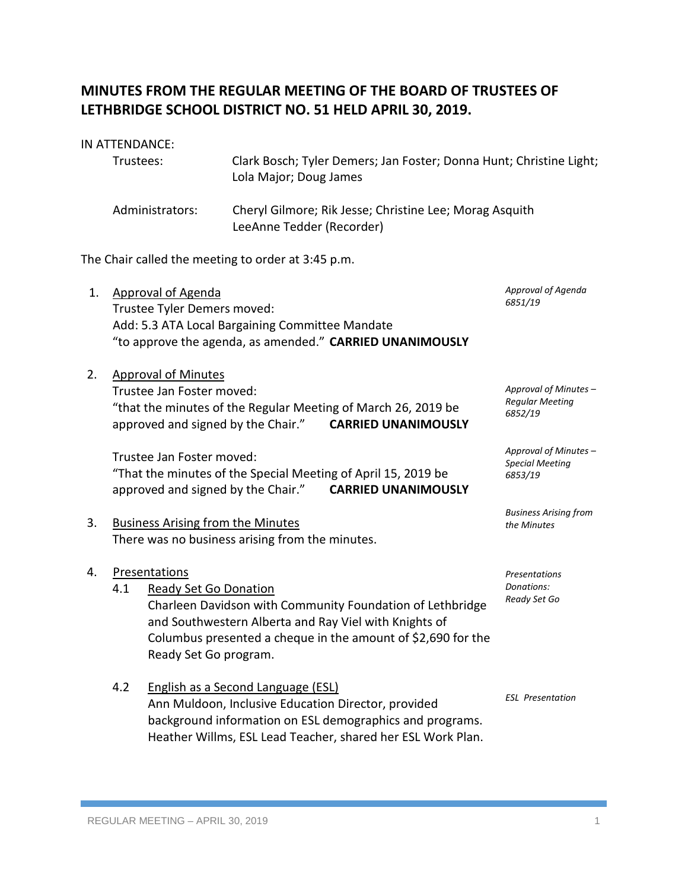# **MINUTES FROM THE REGULAR MEETING OF THE BOARD OF TRUSTEES OF LETHBRIDGE SCHOOL DISTRICT NO. 51 HELD APRIL 30, 2019.**

#### IN ATTENDANCE:

| Trustees:       | Clark Bosch; Tyler Demers; Jan Foster; Donna Hunt; Christine Light;<br>Lola Major; Doug James |
|-----------------|-----------------------------------------------------------------------------------------------|
| Administrators: | Cheryl Gilmore; Rik Jesse; Christine Lee; Morag Asquith<br>LeeAnne Tedder (Recorder)          |

The Chair called the meeting to order at 3:45 p.m.

- 1. Approval of Agenda Trustee Tyler Demers moved: Add: 5.3 ATA Local Bargaining Committee Mandate "to approve the agenda, as amended." **CARRIED UNANIMOUSLY** 2. Approval of Minutes Trustee Jan Foster moved: "that the minutes of the Regular Meeting of March 26, 2019 be approved and signed by the Chair." **CARRIED UNANIMOUSLY** Trustee Jan Foster moved: "That the minutes of the Special Meeting of April 15, 2019 be approved and signed by the Chair." **CARRIED UNANIMOUSLY** 3. Business Arising from the Minutes There was no business arising from the minutes. 4. Presentations 4.1 Ready Set Go Donation Charleen Davidson with Community Foundation of Lethbridge and Southwestern Alberta and Ray Viel with Knights of Columbus presented a cheque in the amount of \$2,690 for the Ready Set Go program. *Approval of Agenda 6851/19 Approval of Minutes – Regular Meeting 6852/19 Approval of Minutes – Special Meeting 6853/19 Business Arising from the Minutes Presentations Donations: Ready Set Go*
	- 4.2 English as a Second Language (ESL) Ann Muldoon, Inclusive Education Director, provided background information on ESL demographics and programs. Heather Willms, ESL Lead Teacher, shared her ESL Work Plan.

*ESL Presentation*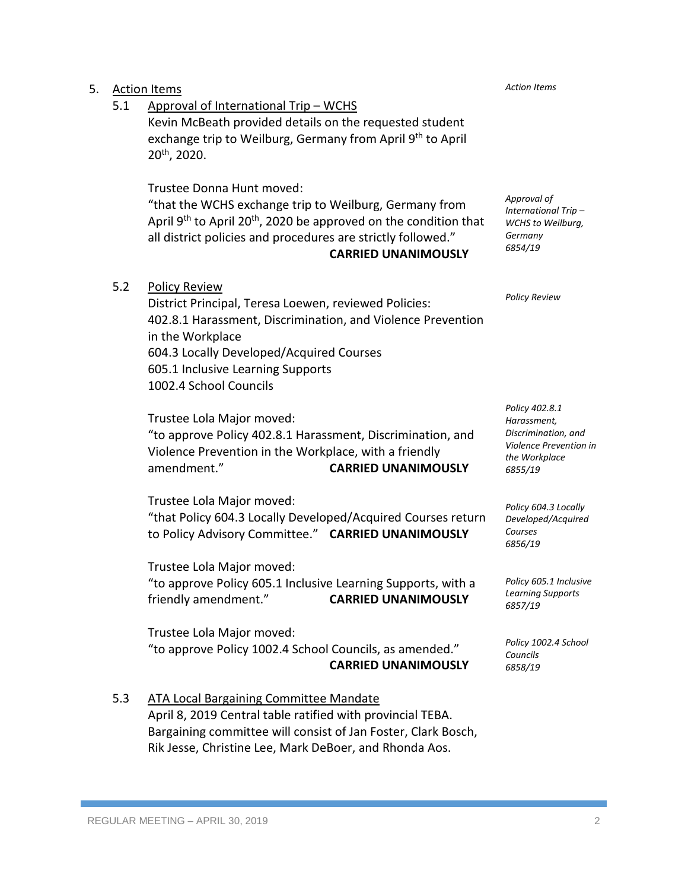|     | <b>CARRIED UNANIMOUSLY</b>                                                                                                                                                                                                             |
|-----|----------------------------------------------------------------------------------------------------------------------------------------------------------------------------------------------------------------------------------------|
| 5.3 | <b>ATA Local Bargaining Committee Mandate</b><br>April 8, 2019 Central table ratified with provincial TEBA.<br>Bargaining committee will consist of Jan Foster, Clark Bosch,<br>Rik Jesse, Christine Lee, Mark DeBoer, and Rhonda Aos. |

"to approve Policy 605.1 Inclusive Learning Supports, with a friendly amendment." **CARRIED UNANIMOUSLY** Trustee Lola Major moved:

"to approve Policy 1002.4 School Councils, as amended."

to Policy Advisory Committee." **CARRIED UNANIMOUSLY** Trustee Lola Major moved:

amendment." **CARRIED UNANIMOUSLY** Trustee Lola Major moved: "that Policy 604.3 Locally Developed/Acquired Courses return

Violence Prevention in the Workplace, with a friendly

Trustee Lola Major moved: "to approve Policy 402.8.1 Harassment, Discrimination, and

5.2 Policy Review District Principal, Teresa Loewen, reviewed Policies: 402.8.1 Harassment, Discrimination, and Violence Prevention in the Workplace 604.3 Locally Developed/Acquired Courses 605.1 Inclusive Learning Supports 1002.4 School Councils

Kevin McBeath provided details on the requested student exchange trip to Weilburg, Germany from April 9<sup>th</sup> to April

"that the WCHS exchange trip to Weilburg, Germany from April 9<sup>th</sup> to April 20<sup>th</sup>, 2020 be approved on the condition that all district policies and procedures are strictly followed." **CARRIED UNANIMOUSLY**

*Approval of International Trip – WCHS to Weilburg, Germany 6854/19*

*Action Items*

*Policy Review*

*Policy 402.8.1 Harassment, Discrimination, and Violence Prevention in the Workplace 6855/19*

*Policy 604.3 Locally Developed/Acquired Courses 6856/19*

*Policy 605.1 Inclusive Learning Supports 6857/19*

*Policy 1002.4 School Councils 6858/19*

5. Action Items

20th, 2020.

5.1 Approval of International Trip – WCHS

Trustee Donna Hunt moved: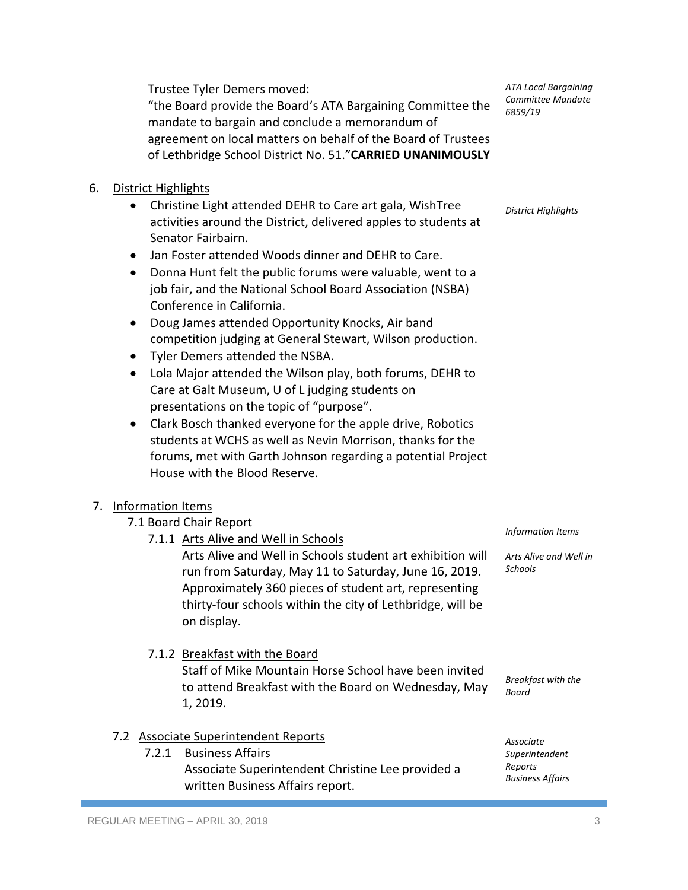Trustee Tyler Demers moved:

"the Board provide the Board's ATA Bargaining Committee the mandate to bargain and conclude a memorandum of agreement on local matters on behalf of the Board of Trustees of Lethbridge School District No. 51."**CARRIED UNANIMOUSLY**

## 6. District Highlights

- Christine Light attended DEHR to Care art gala, WishTree activities around the District, delivered apples to students at Senator Fairbairn.
- Jan Foster attended Woods dinner and DEHR to Care.
- Donna Hunt felt the public forums were valuable, went to a job fair, and the National School Board Association (NSBA) Conference in California.
- Doug James attended Opportunity Knocks, Air band competition judging at General Stewart, Wilson production.
- Tyler Demers attended the NSBA.
- Lola Major attended the Wilson play, both forums, DEHR to Care at Galt Museum, U of L judging students on presentations on the topic of "purpose".
- Clark Bosch thanked everyone for the apple drive, Robotics students at WCHS as well as Nevin Morrison, thanks for the forums, met with Garth Johnson regarding a potential Project House with the Blood Reserve.

## 7. Information Items

- 7.1 Board Chair Report
	- 7.1.1 Arts Alive and Well in Schools

Arts Alive and Well in Schools student art exhibition will run from Saturday, May 11 to Saturday, June 16, 2019. Approximately 360 pieces of student art, representing thirty-four schools within the city of Lethbridge, will be on display.

Staff of Mike Mountain Horse School have been invited to attend Breakfast with the Board on Wednesday, May *Information Items*

*Arts Alive and Well in Schools*

*Breakfast with the Board*

## 7.2 Associate Superintendent Reports

7.1.2 Breakfast with the Board

7.2.1 Business Affairs

1, 2019.

Associate Superintendent Christine Lee provided a written Business Affairs report.

*Associate Superintendent Reports Business Affairs*

*ATA Local Bargaining Committee Mandate 6859/19*

*District Highlights*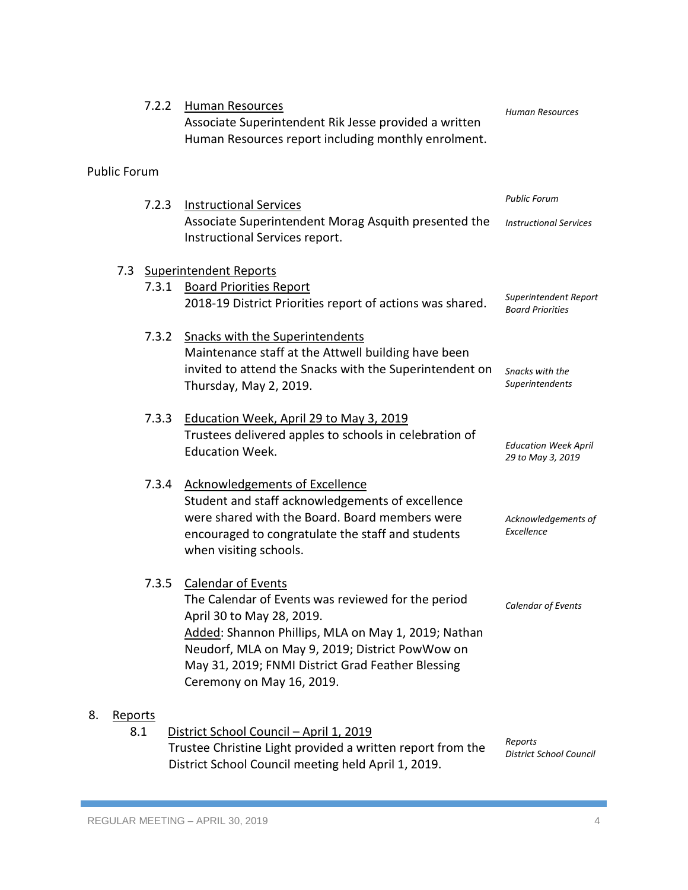|                                                                                |  | 7.2.2 | Human Resources<br>Associate Superintendent Rik Jesse provided a written<br>Human Resources report including monthly enrolment. | <b>Human Resources</b>                           |
|--------------------------------------------------------------------------------|--|-------|---------------------------------------------------------------------------------------------------------------------------------|--------------------------------------------------|
| <b>Public Forum</b>                                                            |  |       |                                                                                                                                 |                                                  |
|                                                                                |  | 7.2.3 | <b>Instructional Services</b>                                                                                                   | <b>Public Forum</b>                              |
|                                                                                |  |       | Associate Superintendent Morag Asquith presented the<br>Instructional Services report.                                          | <b>Instructional Services</b>                    |
|                                                                                |  |       | 7.3 Superintendent Reports                                                                                                      |                                                  |
|                                                                                |  |       | 7.3.1 Board Priorities Report                                                                                                   |                                                  |
|                                                                                |  |       | 2018-19 District Priorities report of actions was shared.                                                                       | Superintendent Report<br><b>Board Priorities</b> |
|                                                                                |  | 7.3.2 | <b>Snacks with the Superintendents</b>                                                                                          |                                                  |
|                                                                                |  |       | Maintenance staff at the Attwell building have been                                                                             |                                                  |
|                                                                                |  |       | invited to attend the Snacks with the Superintendent on                                                                         | Snacks with the                                  |
|                                                                                |  |       | Thursday, May 2, 2019.                                                                                                          | Superintendents                                  |
|                                                                                |  | 7.3.3 | Education Week, April 29 to May 3, 2019                                                                                         |                                                  |
|                                                                                |  |       | Trustees delivered apples to schools in celebration of                                                                          |                                                  |
|                                                                                |  |       | <b>Education Week.</b>                                                                                                          | <b>Education Week April</b><br>29 to May 3, 2019 |
|                                                                                |  |       | 7.3.4 Acknowledgements of Excellence                                                                                            |                                                  |
|                                                                                |  |       | Student and staff acknowledgements of excellence                                                                                |                                                  |
|                                                                                |  |       | were shared with the Board. Board members were                                                                                  | Acknowledgements of                              |
|                                                                                |  |       | encouraged to congratulate the staff and students<br>when visiting schools.                                                     | Excellence                                       |
|                                                                                |  |       |                                                                                                                                 |                                                  |
|                                                                                |  | 7.3.5 | <b>Calendar of Events</b>                                                                                                       |                                                  |
|                                                                                |  |       | The Calendar of Events was reviewed for the period                                                                              | Calendar of Events                               |
|                                                                                |  |       | April 30 to May 28, 2019.                                                                                                       |                                                  |
|                                                                                |  |       | Added: Shannon Phillips, MLA on May 1, 2019; Nathan<br>Neudorf, MLA on May 9, 2019; District PowWow on                          |                                                  |
|                                                                                |  |       | May 31, 2019; FNMI District Grad Feather Blessing                                                                               |                                                  |
|                                                                                |  |       | Ceremony on May 16, 2019.                                                                                                       |                                                  |
| 8.                                                                             |  |       |                                                                                                                                 |                                                  |
| <b>Reports</b><br>8.1<br>District School Council - April 1, 2019               |  |       |                                                                                                                                 |                                                  |
| Reports<br>Trustee Christine Light provided a written report from the          |  |       |                                                                                                                                 |                                                  |
| District School Council<br>District School Council meeting held April 1, 2019. |  |       |                                                                                                                                 |                                                  |